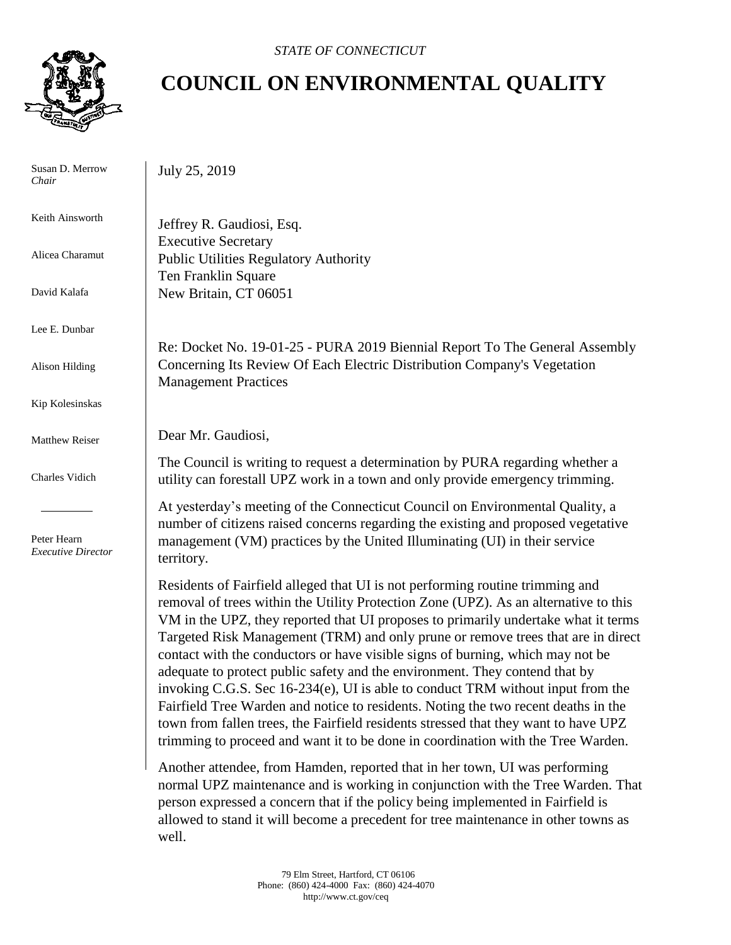

 Susan D. Merrow *Chair*

Keith Ainsworth

Alicea Charamut

David Kalafa

Lee E. Dunbar

Alison Hilding

Kip Kolesinskas

Matthew Reiser

Charles Vidich

 Peter Hearn *Executive Director*

## **COUNCIL ON ENVIRONMENTAL QUALITY**

July 25, 2019

Jeffrey R. Gaudiosi, Esq. Executive Secretary Public Utilities Regulatory Authority Ten Franklin Square New Britain, CT 06051

Re: Docket No. 19-01-25 - PURA 2019 Biennial Report To The General Assembly Concerning Its Review Of Each Electric Distribution Company's Vegetation Management Practices

Dear Mr. Gaudiosi,

The Council is writing to request a determination by PURA regarding whether a utility can forestall UPZ work in a town and only provide emergency trimming.

At yesterday's meeting of the Connecticut Council on Environmental Quality, a number of citizens raised concerns regarding the existing and proposed vegetative management (VM) practices by the United Illuminating (UI) in their service territory.

Residents of Fairfield alleged that UI is not performing routine trimming and removal of trees within the Utility Protection Zone (UPZ). As an alternative to this VM in the UPZ, they reported that UI proposes to primarily undertake what it terms Targeted Risk Management (TRM) and only prune or remove trees that are in direct contact with the conductors or have visible signs of burning, which may not be adequate to protect public safety and the environment. They contend that by invoking C.G.S. Sec 16-234(e), UI is able to conduct TRM without input from the Fairfield Tree Warden and notice to residents. Noting the two recent deaths in the town from fallen trees, the Fairfield residents stressed that they want to have UPZ trimming to proceed and want it to be done in coordination with the Tree Warden.

Another attendee, from Hamden, reported that in her town, UI was performing normal UPZ maintenance and is working in conjunction with the Tree Warden. That person expressed a concern that if the policy being implemented in Fairfield is allowed to stand it will become a precedent for tree maintenance in other towns as well.